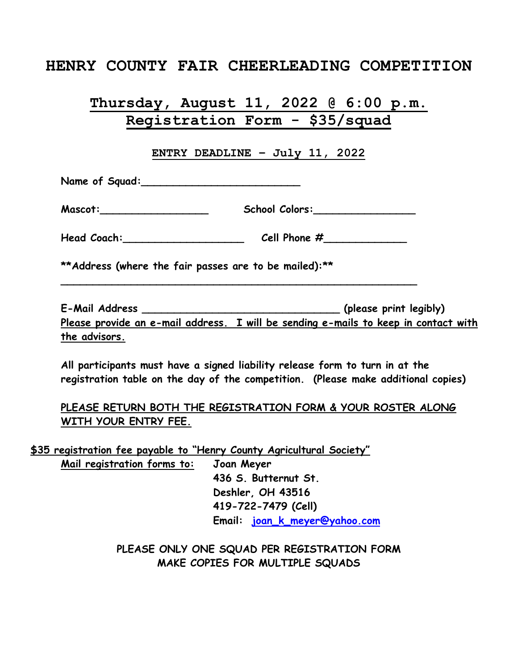## **HENRY COUNTY FAIR CHEERLEADING COMPETITION**

# **Thursday, August 11, 2022 @ 6:00 p.m. Registration Form - \$35/squad**

**ENTRY DEADLINE – July 11, 2022**

**Name of Squad:\_\_\_\_\_\_\_\_\_\_\_\_\_\_\_\_\_\_\_\_\_\_\_\_\_**

| Mascot: | <b>School Colors:</b> |
|---------|-----------------------|
|---------|-----------------------|

Head Coach: **Cell Phone #** 

**\_\_\_\_\_\_\_\_\_\_\_\_\_\_\_\_\_\_\_\_\_\_\_\_\_\_\_\_\_\_\_\_\_\_\_\_\_\_\_\_\_\_\_\_\_\_\_\_\_\_\_\_\_\_\_\_**

**\*\*Address (where the fair passes are to be mailed):\*\***

**E-Mail Address \_\_\_\_\_\_\_\_\_\_\_\_\_\_\_\_\_\_\_\_\_\_\_\_\_\_\_\_\_\_\_ (please print legibly) Please provide an e-mail address. I will be sending e-mails to keep in contact with the advisors.** 

**All participants must have a signed liability release form to turn in at the registration table on the day of the competition. (Please make additional copies)** 

#### **PLEASE RETURN BOTH THE REGISTRATION FORM & YOUR ROSTER ALONG WITH YOUR ENTRY FEE.**

**\$35 registration fee payable to "Henry County Agricultural Society" Mail registration forms to: Joan Meyer 436 S. Butternut St. Deshler, OH 43516 419-722-7479 (Cell) Email: [joan\\_k\\_meyer@yahoo.com](mailto:joan_k_meyer@yahoo.com)**

> **PLEASE ONLY ONE SQUAD PER REGISTRATION FORM MAKE COPIES FOR MULTIPLE SQUADS**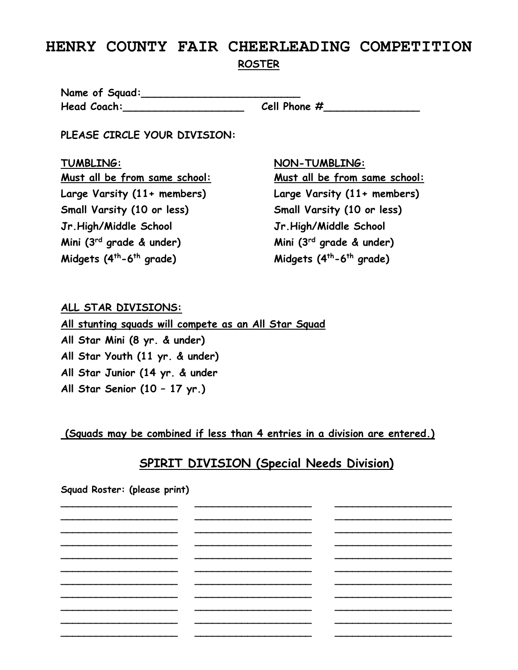## **HENRY COUNTY FAIR CHEERLEADING COMPETITION ROSTER**

**Name of Squad:\_\_\_\_\_\_\_\_\_\_\_\_\_\_\_\_\_\_\_\_\_\_\_\_\_ Head Coach:\_\_\_\_\_\_\_\_\_\_\_\_\_\_\_\_\_\_\_ Cell Phone #\_\_\_\_\_\_\_\_\_\_\_\_\_\_\_**

**PLEASE CIRCLE YOUR DIVISION:**

**Large Varsity (11+ members) Large Varsity (11+ members) Small Varsity (10 or less) Small Varsity (10 or less) Jr.High/Middle School Jr.High/Middle School Mini (3rd grade & under) Mini (3rd grade & under) Midgets (4th-6**

**TUMBLING: NON-TUMBLING:**

**Must all be from same school: Must all be from same school: th grade) Midgets (4th-6 th grade)**

### **ALL STAR DIVISIONS:**

**All stunting squads will compete as an All Star Squad All Star Mini (8 yr. & under) All Star Youth (11 yr. & under) All Star Junior (14 yr. & under All Star Senior (10 – 17 yr.)**

**(Squads may be combined if less than 4 entries in a division are entered.)** 

# **SPIRIT DIVISION (Special Needs Division)**

**Squad Roster: (please print) \_\_\_\_\_\_\_\_\_\_\_\_\_\_\_\_\_\_\_\_ \_\_\_\_\_\_\_\_\_\_\_\_\_\_\_\_\_\_\_\_ \_\_\_\_\_\_\_\_\_\_\_\_\_\_\_\_\_\_\_\_ \_\_\_\_\_\_\_\_\_\_\_\_\_\_\_\_\_\_\_\_ \_\_\_\_\_\_\_\_\_\_\_\_\_\_\_\_\_\_\_\_ \_\_\_\_\_\_\_\_\_\_\_\_\_\_\_\_\_\_\_\_ \_\_\_\_\_\_\_\_\_\_\_\_\_\_\_\_\_\_\_\_ \_\_\_\_\_\_\_\_\_\_\_\_\_\_\_\_\_\_\_\_ \_\_\_\_\_\_\_\_\_\_\_\_\_\_\_\_\_\_\_\_ \_\_\_\_\_\_\_\_\_\_\_\_\_\_\_\_\_\_\_\_ \_\_\_\_\_\_\_\_\_\_\_\_\_\_\_\_\_\_\_\_ \_\_\_\_\_\_\_\_\_\_\_\_\_\_\_\_\_\_\_\_ \_\_\_\_\_\_\_\_\_\_\_\_\_\_\_\_\_\_\_\_ \_\_\_\_\_\_\_\_\_\_\_\_\_\_\_\_\_\_\_\_ \_\_\_\_\_\_\_\_\_\_\_\_\_\_\_\_\_\_\_\_ \_\_\_\_\_\_\_\_\_\_\_\_\_\_\_\_\_\_\_\_ \_\_\_\_\_\_\_\_\_\_\_\_\_\_\_\_\_\_\_\_ \_\_\_\_\_\_\_\_\_\_\_\_\_\_\_\_\_\_\_\_ \_\_\_\_\_\_\_\_\_\_\_\_\_\_\_\_\_\_\_\_ \_\_\_\_\_\_\_\_\_\_\_\_\_\_\_\_\_\_\_\_ \_\_\_\_\_\_\_\_\_\_\_\_\_\_\_\_\_\_\_\_ \_\_\_\_\_\_\_\_\_\_\_\_\_\_\_\_\_\_\_\_ \_\_\_\_\_\_\_\_\_\_\_\_\_\_\_\_\_\_\_\_ \_\_\_\_\_\_\_\_\_\_\_\_\_\_\_\_\_\_\_\_ \_\_\_\_\_\_\_\_\_\_\_\_\_\_\_\_\_\_\_\_ \_\_\_\_\_\_\_\_\_\_\_\_\_\_\_\_\_\_\_\_ \_\_\_\_\_\_\_\_\_\_\_\_\_\_\_\_\_\_\_\_ \_\_\_\_\_\_\_\_\_\_\_\_\_\_\_\_\_\_\_\_ \_\_\_\_\_\_\_\_\_\_\_\_\_\_\_\_\_\_\_\_ \_\_\_\_\_\_\_\_\_\_\_\_\_\_\_\_\_\_\_\_ \_\_\_\_\_\_\_\_\_\_\_\_\_\_\_\_\_\_\_\_ \_\_\_\_\_\_\_\_\_\_\_\_\_\_\_\_\_\_\_\_ \_\_\_\_\_\_\_\_\_\_\_\_\_\_\_\_\_\_\_\_**